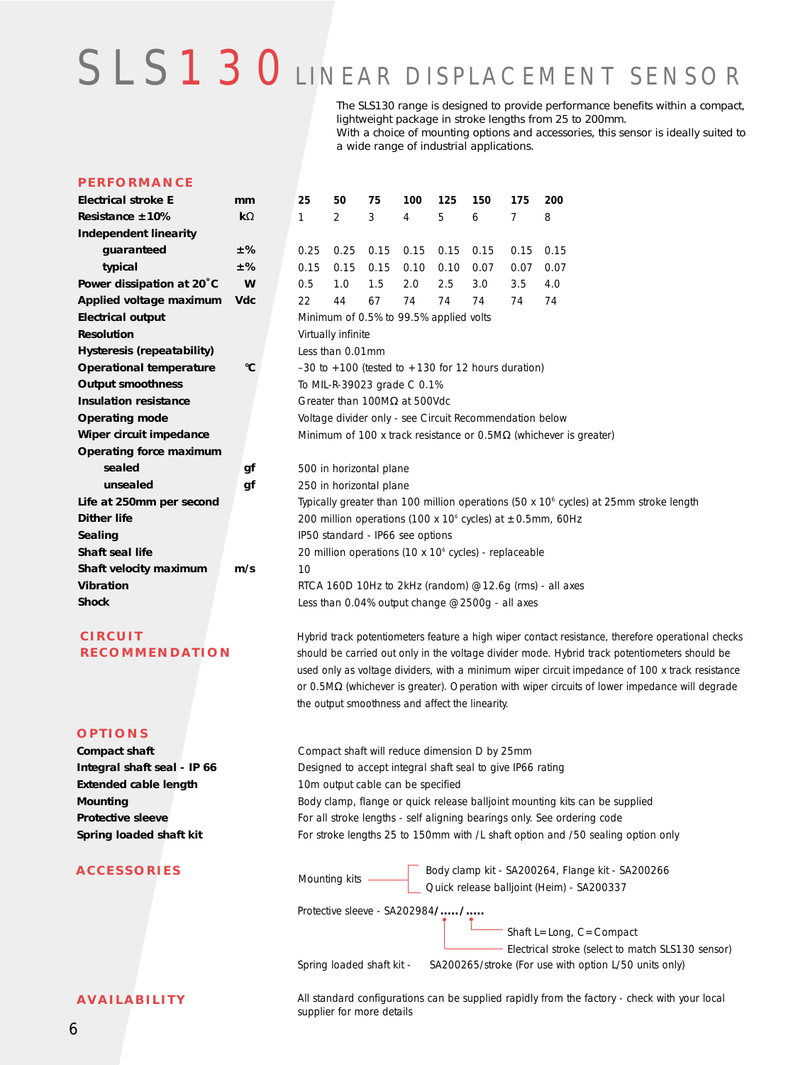# SLS 1 3 0 LINEAR DISPLACEMENT SENSOR

a wide range of industrial applications.

The SLS130 range is designed to provide performance benefits within a compact, lightweight package in stroke lengths from 25 to 200mm. With a choice of mounting options and accessories, this sensor is ideally suited to

#### **PERFORMANCE**

| Electrical stroke E            | mm                 | 25                                                                                      | 50                      | 75   | 100  | 125  | 150  | 175  | 200                                                                                               |  |  |  |
|--------------------------------|--------------------|-----------------------------------------------------------------------------------------|-------------------------|------|------|------|------|------|---------------------------------------------------------------------------------------------------|--|--|--|
| Resistance $\pm 10\%$          | $\mathbf{k}\Omega$ | 1                                                                                       | $\overline{2}$          | 3    | 4    | 5    | 6    | 7    | 8                                                                                                 |  |  |  |
| <b>Independent linearity</b>   |                    |                                                                                         |                         |      |      |      |      |      |                                                                                                   |  |  |  |
| guaranteed                     | ±%                 | 0.25                                                                                    | 0.25                    | 0.15 | 0.15 | 0.15 | 0.15 | 0.15 | 0.15                                                                                              |  |  |  |
| typical                        | ±%                 | 0.15                                                                                    | 0.15                    | 0.15 | 0.10 | 0.10 | 0.07 | 0.07 | 0.07                                                                                              |  |  |  |
| Power dissipation at 20°C      | W                  | 0.5                                                                                     | 1.0                     | 1.5  | 2.0  | 2.5  | 3.0  | 3.5  | 4.0                                                                                               |  |  |  |
| Applied voltage maximum        | <b>Vdc</b>         | 22                                                                                      | 44                      | 67   | 74   | 74   | 74   | 74   | 74                                                                                                |  |  |  |
| <b>Electrical output</b>       |                    | Minimum of 0.5% to 99.5% applied volts                                                  |                         |      |      |      |      |      |                                                                                                   |  |  |  |
| <b>Resolution</b>              |                    | Virtually infinite                                                                      |                         |      |      |      |      |      |                                                                                                   |  |  |  |
| Hysteresis (repeatability)     |                    | Less than 0.01mm                                                                        |                         |      |      |      |      |      |                                                                                                   |  |  |  |
| <b>Operational temperature</b> | °C                 | $-30$ to $+100$ (tested to $+130$ for 12 hours duration)                                |                         |      |      |      |      |      |                                                                                                   |  |  |  |
| <b>Output smoothness</b>       |                    | To MIL-R-39023 grade C 0.1%                                                             |                         |      |      |      |      |      |                                                                                                   |  |  |  |
| <b>Insulation resistance</b>   |                    | Greater than 100M $\Omega$ at 500Vdc                                                    |                         |      |      |      |      |      |                                                                                                   |  |  |  |
| <b>Operating mode</b>          |                    | Voltage divider only - see Circuit Recommendation below                                 |                         |      |      |      |      |      |                                                                                                   |  |  |  |
| Wiper circuit impedance        |                    | Minimum of 100 x track resistance or $0.5\text{M}\Omega$ (whichever is greater)         |                         |      |      |      |      |      |                                                                                                   |  |  |  |
| Operating force maximum        |                    |                                                                                         |                         |      |      |      |      |      |                                                                                                   |  |  |  |
| sealed                         | qf                 |                                                                                         | 500 in horizontal plane |      |      |      |      |      |                                                                                                   |  |  |  |
| unsealed                       | gf                 |                                                                                         | 250 in horizontal plane |      |      |      |      |      |                                                                                                   |  |  |  |
| Life at 250mm per second       |                    | Typically greater than 100 million operations (50 x $106$ cycles) at 25mm stroke length |                         |      |      |      |      |      |                                                                                                   |  |  |  |
| <b>Dither life</b>             |                    | 200 million operations (100 x 10 <sup>6</sup> cycles) at ±0.5mm, 60Hz                   |                         |      |      |      |      |      |                                                                                                   |  |  |  |
| Sealing                        |                    | IP50 standard - IP66 see options                                                        |                         |      |      |      |      |      |                                                                                                   |  |  |  |
| Shaft seal life                |                    | 20 million operations (10 x 10 $\degree$ cycles) - replaceable                          |                         |      |      |      |      |      |                                                                                                   |  |  |  |
| Shaft velocity maximum         | m/s                | 10                                                                                      |                         |      |      |      |      |      |                                                                                                   |  |  |  |
| <b>Vibration</b>               |                    | RTCA 160D 10Hz to 2kHz (random) $@12.6q$ (rms) - all axes                               |                         |      |      |      |      |      |                                                                                                   |  |  |  |
| <b>Shock</b>                   |                    | Less than 0.04% output change @2500g - all axes                                         |                         |      |      |      |      |      |                                                                                                   |  |  |  |
| <b>CIRCUIT</b>                 |                    |                                                                                         |                         |      |      |      |      |      | Hybrid track potentiometers feature a high wiper contact resistance, therefore operational checks |  |  |  |

the output smoothness and affect the linearity.

**RECOMMENDATION** should be carried out only in the voltage divider mode. Hybrid track potentiometers should be

# **OPTIONS**

**Compact shaft Integral shaft seal - IP 66 Extended cable length Mounting Protective sleeve Spring loaded shaft kit**

## **ACCESSORIES**

**AVAILABILITY**

Compact shaft will reduce dimension D by 25mm Designed to accept integral shaft seal to give IP66 rating 10m output cable can be specified Body clamp, flange or quick release balljoint mounting kits can be supplied For all stroke lengths - self aligning bearings only. See ordering code For stroke lengths 25 to 150mm with /L shaft option and /50 sealing option only

used only as voltage dividers, with a minimum wiper circuit impedance of 100 x track resistance or 0.5MΩ (whichever is greater). Operation with wiper circuits of lower impedance will degrade

Mounting kits Body clamp kit - SA200264, Flange kit - SA200266 Quick release balljoint (Heim) - SA200337

Protective sleeve - SA202984**/...../.....**

Spring loaded shaft kit - SA200265/stroke (For use with option L/50 units only)  $^-$  Shaft L=Long, C=Compact - Electrical stroke (select to match SLS130 sensor)

All standard configurations can be supplied rapidly from the factory - check with your local supplier for more details